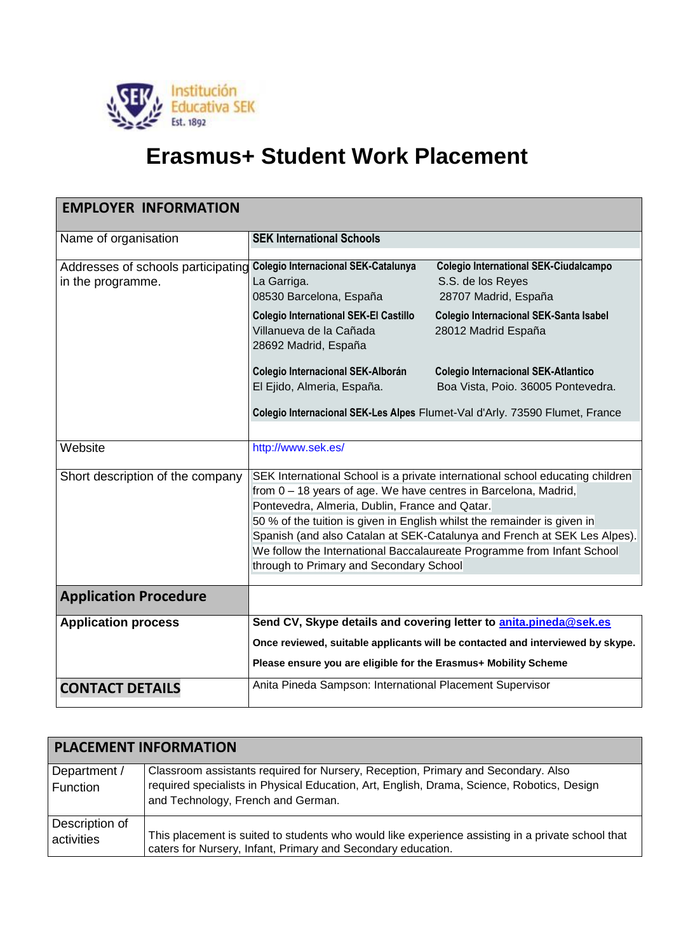

## **Erasmus+ Student Work Placement**

| <b>EMPLOYER INFORMATION</b>                                                                 |                                                                                                                                                                                                                                                                                                                                                                                                                                                                                 |                                                                                                                                                                 |  |  |
|---------------------------------------------------------------------------------------------|---------------------------------------------------------------------------------------------------------------------------------------------------------------------------------------------------------------------------------------------------------------------------------------------------------------------------------------------------------------------------------------------------------------------------------------------------------------------------------|-----------------------------------------------------------------------------------------------------------------------------------------------------------------|--|--|
| Name of organisation                                                                        | <b>SEK International Schools</b>                                                                                                                                                                                                                                                                                                                                                                                                                                                |                                                                                                                                                                 |  |  |
| Addresses of schools participating Colegio Internacional SEK-Catalunya<br>in the programme. | La Garriga.<br>08530 Barcelona, España<br><b>Colegio International SEK-EI Castillo</b><br>Villanueva de la Cañada<br>28692 Madrid, España                                                                                                                                                                                                                                                                                                                                       | Colegio International SEK-Ciudalcampo<br>S.S. de los Reyes<br>28707 Madrid, España<br>Colegio Internacional SEK-Santa Isabel<br>28012 Madrid España             |  |  |
|                                                                                             | Colegio Internacional SEK-Alborán<br>El Ejido, Almeria, España.                                                                                                                                                                                                                                                                                                                                                                                                                 | <b>Colegio Internacional SEK-Atlantico</b><br>Boa Vista, Poio. 36005 Pontevedra.<br>Colegio Internacional SEK-Les Alpes Flumet-Val d'Arly. 73590 Flumet, France |  |  |
| Website                                                                                     | http://www.sek.es/                                                                                                                                                                                                                                                                                                                                                                                                                                                              |                                                                                                                                                                 |  |  |
| Short description of the company                                                            | SEK International School is a private international school educating children<br>from 0 - 18 years of age. We have centres in Barcelona, Madrid,<br>Pontevedra, Almeria, Dublin, France and Qatar.<br>50 % of the tuition is given in English whilst the remainder is given in<br>Spanish (and also Catalan at SEK-Catalunya and French at SEK Les Alpes).<br>We follow the International Baccalaureate Programme from Infant School<br>through to Primary and Secondary School |                                                                                                                                                                 |  |  |
| <b>Application Procedure</b>                                                                |                                                                                                                                                                                                                                                                                                                                                                                                                                                                                 |                                                                                                                                                                 |  |  |
| <b>Application process</b>                                                                  | Send CV, Skype details and covering letter to anita.pineda@sek.es                                                                                                                                                                                                                                                                                                                                                                                                               |                                                                                                                                                                 |  |  |
|                                                                                             | Please ensure you are eligible for the Erasmus+ Mobility Scheme                                                                                                                                                                                                                                                                                                                                                                                                                 | Once reviewed, suitable applicants will be contacted and interviewed by skype.                                                                                  |  |  |
| <b>CONTACT DETAILS</b>                                                                      | Anita Pineda Sampson: International Placement Supervisor                                                                                                                                                                                                                                                                                                                                                                                                                        |                                                                                                                                                                 |  |  |

| <b>PLACEMENT INFORMATION</b> |                                                                                                                                                                                                                       |  |
|------------------------------|-----------------------------------------------------------------------------------------------------------------------------------------------------------------------------------------------------------------------|--|
| Department /<br>Function     | Classroom assistants required for Nursery, Reception, Primary and Secondary. Also<br>required specialists in Physical Education, Art, English, Drama, Science, Robotics, Design<br>and Technology, French and German. |  |
| Description of<br>activities | This placement is suited to students who would like experience assisting in a private school that<br>caters for Nursery, Infant, Primary and Secondary education.                                                     |  |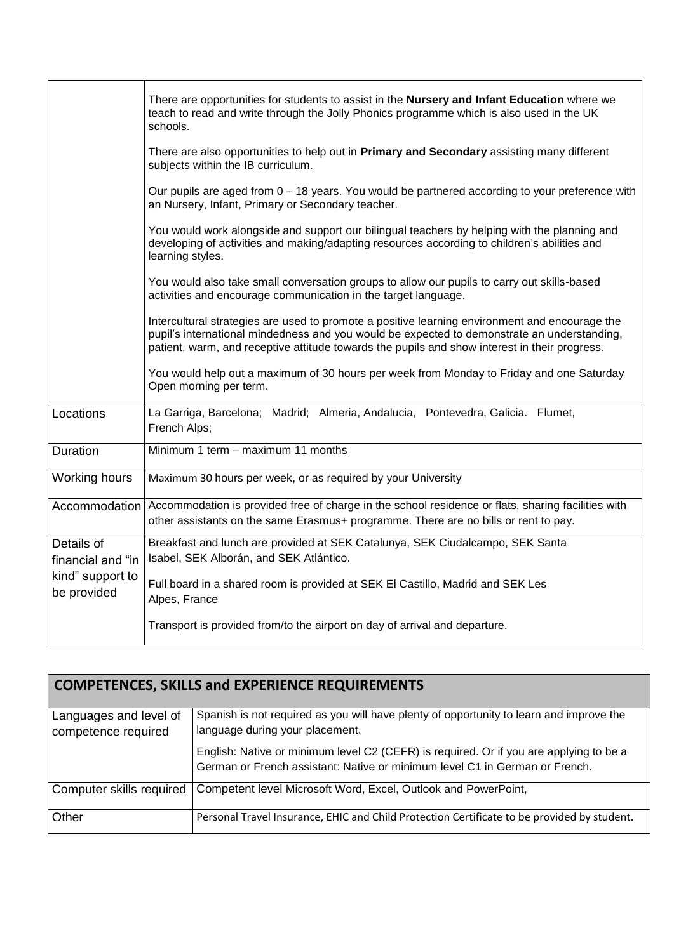|                                 | There are opportunities for students to assist in the <b>Nursery and Infant Education</b> where we<br>teach to read and write through the Jolly Phonics programme which is also used in the UK<br>schools.                                                                                     |
|---------------------------------|------------------------------------------------------------------------------------------------------------------------------------------------------------------------------------------------------------------------------------------------------------------------------------------------|
|                                 | There are also opportunities to help out in Primary and Secondary assisting many different<br>subjects within the IB curriculum.                                                                                                                                                               |
|                                 | Our pupils are aged from 0 - 18 years. You would be partnered according to your preference with<br>an Nursery, Infant, Primary or Secondary teacher.                                                                                                                                           |
|                                 | You would work alongside and support our bilingual teachers by helping with the planning and<br>developing of activities and making/adapting resources according to children's abilities and<br>learning styles.                                                                               |
|                                 | You would also take small conversation groups to allow our pupils to carry out skills-based<br>activities and encourage communication in the target language.                                                                                                                                  |
|                                 | Intercultural strategies are used to promote a positive learning environment and encourage the<br>pupil's international mindedness and you would be expected to demonstrate an understanding,<br>patient, warm, and receptive attitude towards the pupils and show interest in their progress. |
|                                 | You would help out a maximum of 30 hours per week from Monday to Friday and one Saturday<br>Open morning per term.                                                                                                                                                                             |
| Locations                       | La Garriga, Barcelona; Madrid; Almeria, Andalucia, Pontevedra, Galicia. Flumet,<br>French Alps;                                                                                                                                                                                                |
| Duration                        | Minimum 1 term - maximum 11 months                                                                                                                                                                                                                                                             |
| Working hours                   | Maximum 30 hours per week, or as required by your University                                                                                                                                                                                                                                   |
| Accommodation                   | Accommodation is provided free of charge in the school residence or flats, sharing facilities with<br>other assistants on the same Erasmus+ programme. There are no bills or rent to pay.                                                                                                      |
| Details of<br>financial and "in | Breakfast and lunch are provided at SEK Catalunya, SEK Ciudalcampo, SEK Santa<br>Isabel, SEK Alborán, and SEK Atlántico.                                                                                                                                                                       |
| kind" support to<br>be provided | Full board in a shared room is provided at SEK EI Castillo, Madrid and SEK Les<br>Alpes, France                                                                                                                                                                                                |
|                                 | Transport is provided from/to the airport on day of arrival and departure.                                                                                                                                                                                                                     |

| <b>COMPETENCES, SKILLS and EXPERIENCE REQUIREMENTS</b> |                                                                                                                                                                       |  |  |
|--------------------------------------------------------|-----------------------------------------------------------------------------------------------------------------------------------------------------------------------|--|--|
| Languages and level of<br>competence required          | Spanish is not required as you will have plenty of opportunity to learn and improve the<br>language during your placement.                                            |  |  |
|                                                        | English: Native or minimum level C2 (CEFR) is required. Or if you are applying to be a<br>German or French assistant: Native or minimum level C1 in German or French. |  |  |
| Computer skills required                               | Competent level Microsoft Word, Excel, Outlook and PowerPoint,                                                                                                        |  |  |
| Other                                                  | Personal Travel Insurance, EHIC and Child Protection Certificate to be provided by student.                                                                           |  |  |